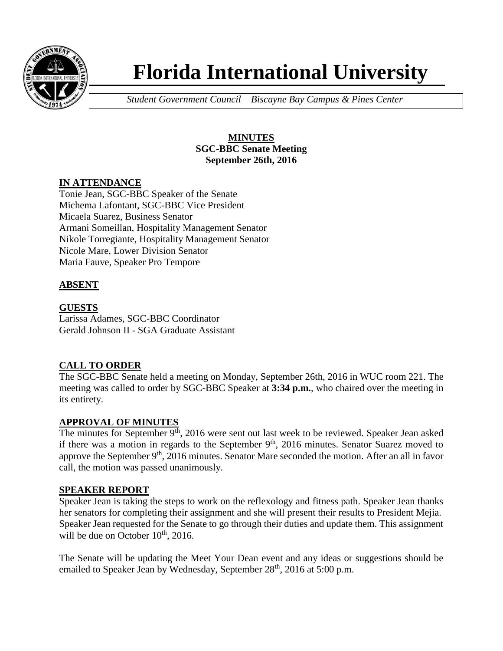

# **Florida International University**

*Student Government Council – Biscayne Bay Campus & Pines Center*

## **MINUTES SGC-BBC Senate Meeting September 26th, 2016**

# **IN ATTENDANCE**

Tonie Jean, SGC-BBC Speaker of the Senate Michema Lafontant, SGC-BBC Vice President Micaela Suarez, Business Senator Armani Someillan, Hospitality Management Senator Nikole Torregiante, Hospitality Management Senator Nicole Mare, Lower Division Senator Maria Fauve, Speaker Pro Tempore

# **ABSENT**

**GUESTS** Larissa Adames, SGC-BBC Coordinator Gerald Johnson II - SGA Graduate Assistant

## **CALL TO ORDER**

The SGC-BBC Senate held a meeting on Monday, September 26th, 2016 in WUC room 221. The meeting was called to order by SGC-BBC Speaker at **3:34 p.m.**, who chaired over the meeting in its entirety.

## **APPROVAL OF MINUTES**

The minutes for September  $9<sup>th</sup>$ , 2016 were sent out last week to be reviewed. Speaker Jean asked if there was a motion in regards to the September  $9<sup>th</sup>$ , 2016 minutes. Senator Suarez moved to approve the September 9<sup>th</sup>, 2016 minutes. Senator Mare seconded the motion. After an all in favor call, the motion was passed unanimously.

## **SPEAKER REPORT**

Speaker Jean is taking the steps to work on the reflexology and fitness path. Speaker Jean thanks her senators for completing their assignment and she will present their results to President Mejia. Speaker Jean requested for the Senate to go through their duties and update them. This assignment will be due on October  $10^{th}$ , 2016.

The Senate will be updating the Meet Your Dean event and any ideas or suggestions should be emailed to Speaker Jean by Wednesday, September 28<sup>th</sup>, 2016 at 5:00 p.m.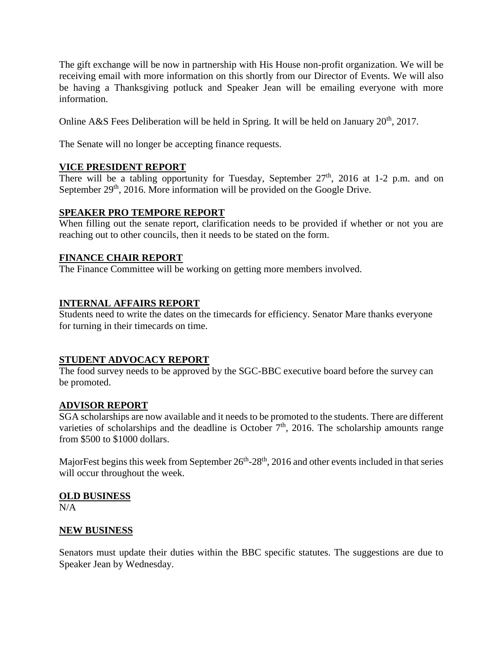The gift exchange will be now in partnership with His House non-profit organization. We will be receiving email with more information on this shortly from our Director of Events. We will also be having a Thanksgiving potluck and Speaker Jean will be emailing everyone with more information.

Online A&S Fees Deliberation will be held in Spring. It will be held on January  $20^{th}$ . 2017.

The Senate will no longer be accepting finance requests.

#### **VICE PRESIDENT REPORT**

There will be a tabling opportunity for Tuesday, September  $27<sup>th</sup>$ , 2016 at 1-2 p.m. and on September 29<sup>th</sup>, 2016. More information will be provided on the Google Drive.

#### **SPEAKER PRO TEMPORE REPORT**

When filling out the senate report, clarification needs to be provided if whether or not you are reaching out to other councils, then it needs to be stated on the form.

#### **FINANCE CHAIR REPORT**

The Finance Committee will be working on getting more members involved.

#### **INTERNAL AFFAIRS REPORT**

Students need to write the dates on the timecards for efficiency. Senator Mare thanks everyone for turning in their timecards on time.

#### **STUDENT ADVOCACY REPORT**

The food survey needs to be approved by the SGC-BBC executive board before the survey can be promoted.

#### **ADVISOR REPORT**

SGA scholarships are now available and it needs to be promoted to the students. There are different varieties of scholarships and the deadline is October  $7<sup>th</sup>$ , 2016. The scholarship amounts range from \$500 to \$1000 dollars.

MajorFest begins this week from September  $26<sup>th</sup> - 28<sup>th</sup>$ , 2016 and other events included in that series will occur throughout the week.

#### **OLD BUSINESS**

N/A

## **NEW BUSINESS**

Senators must update their duties within the BBC specific statutes. The suggestions are due to Speaker Jean by Wednesday.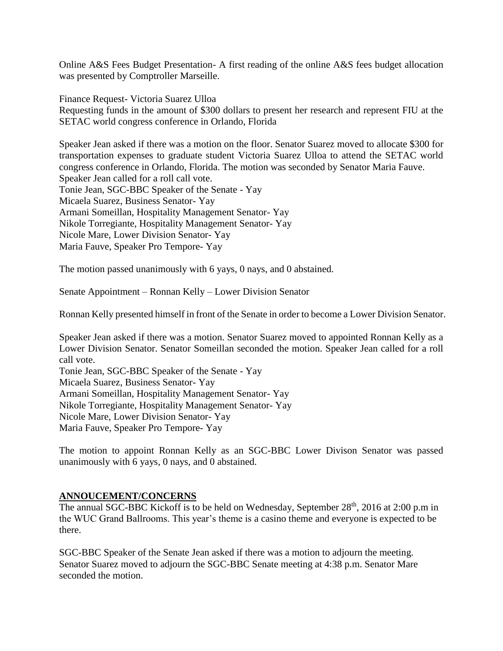Online A&S Fees Budget Presentation- A first reading of the online A&S fees budget allocation was presented by Comptroller Marseille.

Finance Request- Victoria Suarez Ulloa Requesting funds in the amount of \$300 dollars to present her research and represent FIU at the SETAC world congress conference in Orlando, Florida

Speaker Jean asked if there was a motion on the floor. Senator Suarez moved to allocate \$300 for transportation expenses to graduate student Victoria Suarez Ulloa to attend the SETAC world congress conference in Orlando, Florida. The motion was seconded by Senator Maria Fauve. Speaker Jean called for a roll call vote. Tonie Jean, SGC-BBC Speaker of the Senate - Yay Micaela Suarez, Business Senator- Yay Armani Someillan, Hospitality Management Senator- Yay Nikole Torregiante, Hospitality Management Senator- Yay Nicole Mare, Lower Division Senator- Yay Maria Fauve, Speaker Pro Tempore- Yay

The motion passed unanimously with 6 yays, 0 nays, and 0 abstained.

Senate Appointment – Ronnan Kelly – Lower Division Senator

Ronnan Kelly presented himself in front of the Senate in order to become a Lower Division Senator.

Speaker Jean asked if there was a motion. Senator Suarez moved to appointed Ronnan Kelly as a Lower Division Senator. Senator Someillan seconded the motion. Speaker Jean called for a roll call vote.

Tonie Jean, SGC-BBC Speaker of the Senate - Yay Micaela Suarez, Business Senator- Yay Armani Someillan, Hospitality Management Senator- Yay Nikole Torregiante, Hospitality Management Senator- Yay Nicole Mare, Lower Division Senator- Yay Maria Fauve, Speaker Pro Tempore- Yay

The motion to appoint Ronnan Kelly as an SGC-BBC Lower Divison Senator was passed unanimously with 6 yays, 0 nays, and 0 abstained.

## **ANNOUCEMENT/CONCERNS**

The annual SGC-BBC Kickoff is to be held on Wednesday, September  $28<sup>th</sup>$ , 2016 at 2:00 p.m in the WUC Grand Ballrooms. This year's theme is a casino theme and everyone is expected to be there.

SGC-BBC Speaker of the Senate Jean asked if there was a motion to adjourn the meeting. Senator Suarez moved to adjourn the SGC-BBC Senate meeting at 4:38 p.m. Senator Mare seconded the motion.